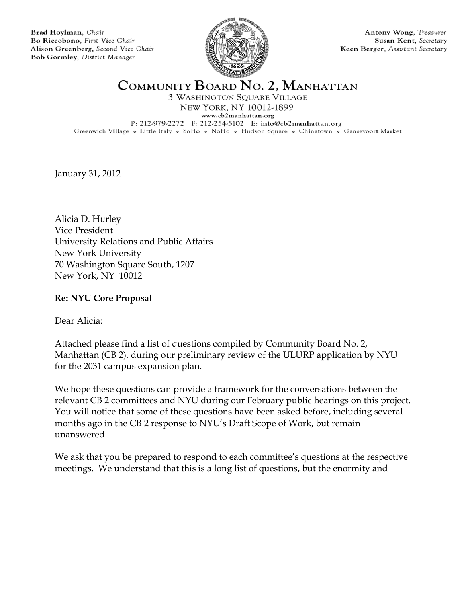Brad Hoylman, Chair Bo Riccobono, First Vice Chair Alison Greenberg, Second Vice Chair Bob Gormley, District Manager



Antony Wong, Treasurer Susan Kent, Secretary Keen Berger, Assistant Secretary

COMMUNITY BOARD NO. 2, MANHATTAN

3 WASHINGTON SQUARE VILLAGE NEW YORK, NY 10012-1899 www.cb2manhattan.org P: 212-979-2272 F: 212-254-5102 E: info@cb2manhattan.org Greenwich Village » Little Italy » SoHo » NoHo » Hudson Square » Chinatown » Gansevoort Market

January 31, 2012

Alicia D. Hurley Vice President University Relations and Public Affairs New York University 70 Washington Square South, 1207 New York, NY 10012

### **Re: NYU Core Proposal**

Dear Alicia:

Attached please find a list of questions compiled by Community Board No. 2, Manhattan (CB 2), during our preliminary review of the ULURP application by NYU for the 2031 campus expansion plan.

We hope these questions can provide a framework for the conversations between the relevant CB 2 committees and NYU during our February public hearings on this project. You will notice that some of these questions have been asked before, including several months ago in the CB 2 response to NYU's Draft Scope of Work, but remain unanswered.

We ask that you be prepared to respond to each committee's questions at the respective meetings. We understand that this is a long list of questions, but the enormity and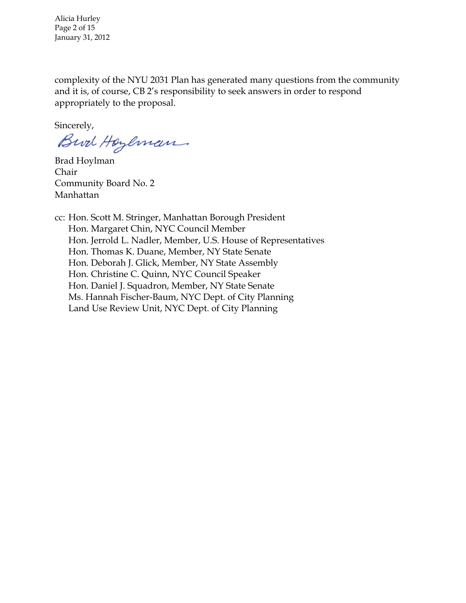Alicia Hurley Page 2 of 15 January 31, 2012

complexity of the NYU 2031 Plan has generated many questions from the community and it is, of course, CB 2's responsibility to seek answers in order to respond appropriately to the proposal.

Sincerely,

Bird Hoylman

Brad Hoylman Chair Community Board No. 2 Manhattan

cc: Hon. Scott M. Stringer, Manhattan Borough President Hon. Margaret Chin, NYC Council Member Hon. Jerrold L. Nadler, Member, U.S. House of Representatives Hon. Thomas K. Duane, Member, NY State Senate Hon. Deborah J. Glick, Member, NY State Assembly Hon. Christine C. Quinn, NYC Council Speaker Hon. Daniel J. Squadron, Member, NY State Senate Ms. Hannah Fischer-Baum, NYC Dept. of City Planning Land Use Review Unit, NYC Dept. of City Planning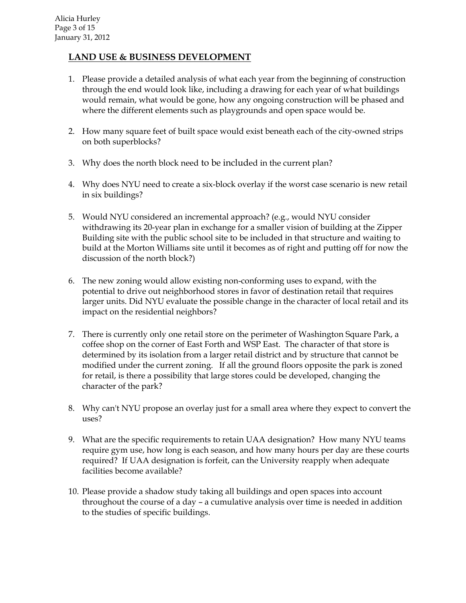### **LAND USE & BUSINESS DEVELOPMENT**

- 1. Please provide a detailed analysis of what each year from the beginning of construction through the end would look like, including a drawing for each year of what buildings would remain, what would be gone, how any ongoing construction will be phased and where the different elements such as playgrounds and open space would be.
- 2. How many square feet of built space would exist beneath each of the city-owned strips on both superblocks?
- 3. Why does the north block need to be included in the current plan?
- 4. Why does NYU need to create a six-block overlay if the worst case scenario is new retail in six buildings?
- 5. Would NYU considered an incremental approach? (e.g., would NYU consider withdrawing its 20-year plan in exchange for a smaller vision of building at the Zipper Building site with the public school site to be included in that structure and waiting to build at the Morton Williams site until it becomes as of right and putting off for now the discussion of the north block?)
- 6. The new zoning would allow existing non-conforming uses to expand, with the potential to drive out neighborhood stores in favor of destination retail that requires larger units. Did NYU evaluate the possible change in the character of local retail and its impact on the residential neighbors?
- 7. There is currently only one retail store on the perimeter of Washington Square Park, a coffee shop on the corner of East Forth and WSP East. The character of that store is determined by its isolation from a larger retail district and by structure that cannot be modified under the current zoning. If all the ground floors opposite the park is zoned for retail, is there a possibility that large stores could be developed, changing the character of the park?
- 8. Why can't NYU propose an overlay just for a small area where they expect to convert the uses?
- 9. What are the specific requirements to retain UAA designation? How many NYU teams require gym use, how long is each season, and how many hours per day are these courts required? If UAA designation is forfeit, can the University reapply when adequate facilities become available?
- 10. Please provide a shadow study taking all buildings and open spaces into account throughout the course of a day – a cumulative analysis over time is needed in addition to the studies of specific buildings.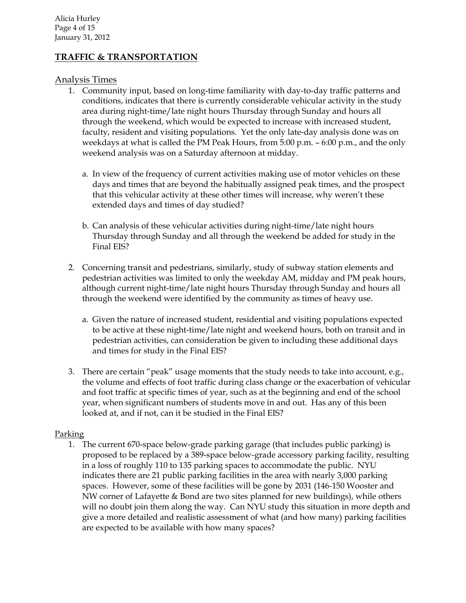### **TRAFFIC & TRANSPORTATION**

#### Analysis Times

- 1. Community input, based on long-time familiarity with day-to-day traffic patterns and conditions, indicates that there is currently considerable vehicular activity in the study area during night-time/late night hours Thursday through Sunday and hours all through the weekend, which would be expected to increase with increased student, faculty, resident and visiting populations. Yet the only late-day analysis done was on weekdays at what is called the PM Peak Hours, from 5:00 p.m. – 6:00 p.m., and the only weekend analysis was on a Saturday afternoon at midday.
	- a. In view of the frequency of current activities making use of motor vehicles on these days and times that are beyond the habitually assigned peak times, and the prospect that this vehicular activity at these other times will increase, why weren't these extended days and times of day studied?
	- b. Can analysis of these vehicular activities during night-time/late night hours Thursday through Sunday and all through the weekend be added for study in the Final EIS?
- 2. Concerning transit and pedestrians, similarly, study of subway station elements and pedestrian activities was limited to only the weekday AM, midday and PM peak hours, although current night-time/late night hours Thursday through Sunday and hours all through the weekend were identified by the community as times of heavy use.
	- a. Given the nature of increased student, residential and visiting populations expected to be active at these night-time/late night and weekend hours, both on transit and in pedestrian activities, can consideration be given to including these additional days and times for study in the Final EIS?
- 3. There are certain "peak" usage moments that the study needs to take into account, e.g., the volume and effects of foot traffic during class change or the exacerbation of vehicular and foot traffic at specific times of year, such as at the beginning and end of the school year, when significant numbers of students move in and out. Has any of this been looked at, and if not, can it be studied in the Final EIS?

#### Parking

1. The current 670-space below-grade parking garage (that includes public parking) is proposed to be replaced by a 389-space below-grade accessory parking facility, resulting in a loss of roughly 110 to 135 parking spaces to accommodate the public. NYU indicates there are 21 public parking facilities in the area with nearly 3,000 parking spaces. However, some of these facilities will be gone by 2031 (146-150 Wooster and NW corner of Lafayette & Bond are two sites planned for new buildings), while others will no doubt join them along the way. Can NYU study this situation in more depth and give a more detailed and realistic assessment of what (and how many) parking facilities are expected to be available with how many spaces?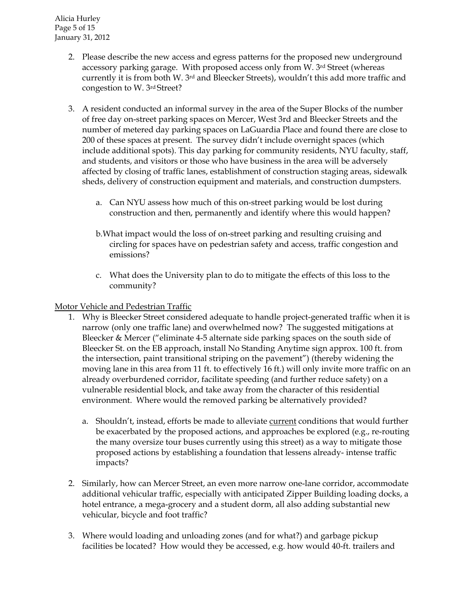- 2. Please describe the new access and egress patterns for the proposed new underground accessory parking garage. With proposed access only from W. 3rd Street (whereas currently it is from both W. 3rd and Bleecker Streets), wouldn't this add more traffic and congestion to W. 3rd Street?
- 3. A resident conducted an informal survey in the area of the Super Blocks of the number of free day on-street parking spaces on Mercer, West 3rd and Bleecker Streets and the number of metered day parking spaces on LaGuardia Place and found there are close to 200 of these spaces at present. The survey didn't include overnight spaces (which include additional spots). This day parking for community residents, NYU faculty, staff, and students, and visitors or those who have business in the area will be adversely affected by closing of traffic lanes, establishment of construction staging areas, sidewalk sheds, delivery of construction equipment and materials, and construction dumpsters.
	- a. Can NYU assess how much of this on-street parking would be lost during construction and then, permanently and identify where this would happen?
	- b.What impact would the loss of on-street parking and resulting cruising and circling for spaces have on pedestrian safety and access, traffic congestion and emissions?
	- c. What does the University plan to do to mitigate the effects of this loss to the community?

#### Motor Vehicle and Pedestrian Traffic

- 1. Why is Bleecker Street considered adequate to handle project-generated traffic when it is narrow (only one traffic lane) and overwhelmed now? The suggested mitigations at Bleecker & Mercer ("eliminate 4-5 alternate side parking spaces on the south side of Bleecker St. on the EB approach, install No Standing Anytime sign approx. 100 ft. from the intersection, paint transitional striping on the pavement") (thereby widening the moving lane in this area from 11 ft. to effectively 16 ft.) will only invite more traffic on an already overburdened corridor, facilitate speeding (and further reduce safety) on a vulnerable residential block, and take away from the character of this residential environment. Where would the removed parking be alternatively provided?
	- a. Shouldn't, instead, efforts be made to alleviate current conditions that would further be exacerbated by the proposed actions, and approaches be explored (e.g., re-routing the many oversize tour buses currently using this street) as a way to mitigate those proposed actions by establishing a foundation that lessens already- intense traffic impacts?
- 2. Similarly, how can Mercer Street, an even more narrow one-lane corridor, accommodate additional vehicular traffic, especially with anticipated Zipper Building loading docks, a hotel entrance, a mega-grocery and a student dorm, all also adding substantial new vehicular, bicycle and foot traffic?
- 3. Where would loading and unloading zones (and for what?) and garbage pickup facilities be located? How would they be accessed, e.g. how would 40-ft. trailers and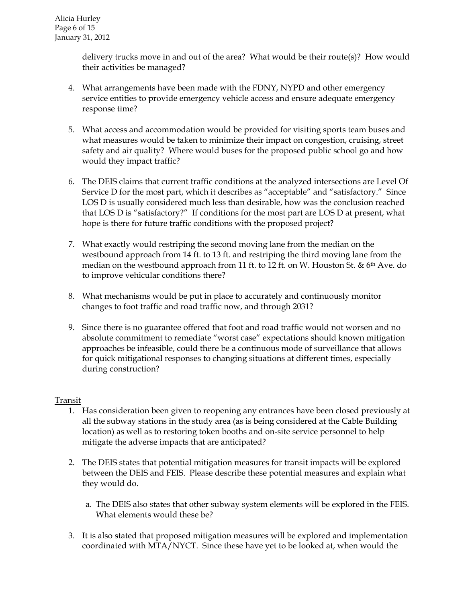delivery trucks move in and out of the area? What would be their route(s)? How would their activities be managed?

- 4. What arrangements have been made with the FDNY, NYPD and other emergency service entities to provide emergency vehicle access and ensure adequate emergency response time?
- 5. What access and accommodation would be provided for visiting sports team buses and what measures would be taken to minimize their impact on congestion, cruising, street safety and air quality? Where would buses for the proposed public school go and how would they impact traffic?
- 6. The DEIS claims that current traffic conditions at the analyzed intersections are Level Of Service D for the most part, which it describes as "acceptable" and "satisfactory." Since LOS D is usually considered much less than desirable, how was the conclusion reached that LOS D is "satisfactory?" If conditions for the most part are LOS D at present, what hope is there for future traffic conditions with the proposed project?
- 7. What exactly would restriping the second moving lane from the median on the westbound approach from 14 ft. to 13 ft. and restriping the third moving lane from the median on the westbound approach from 11 ft. to 12 ft. on W. Houston St. & 6<sup>th</sup> Ave. do to improve vehicular conditions there?
- 8. What mechanisms would be put in place to accurately and continuously monitor changes to foot traffic and road traffic now, and through 2031?
- 9. Since there is no guarantee offered that foot and road traffic would not worsen and no absolute commitment to remediate "worst case" expectations should known mitigation approaches be infeasible, could there be a continuous mode of surveillance that allows for quick mitigational responses to changing situations at different times, especially during construction?

### Transit

- 1. Has consideration been given to reopening any entrances have been closed previously at all the subway stations in the study area (as is being considered at the Cable Building location) as well as to restoring token booths and on-site service personnel to help mitigate the adverse impacts that are anticipated?
- 2. The DEIS states that potential mitigation measures for transit impacts will be explored between the DEIS and FEIS. Please describe these potential measures and explain what they would do.
	- a. The DEIS also states that other subway system elements will be explored in the FEIS. What elements would these be?
- 3. It is also stated that proposed mitigation measures will be explored and implementation coordinated with MTA/NYCT. Since these have yet to be looked at, when would the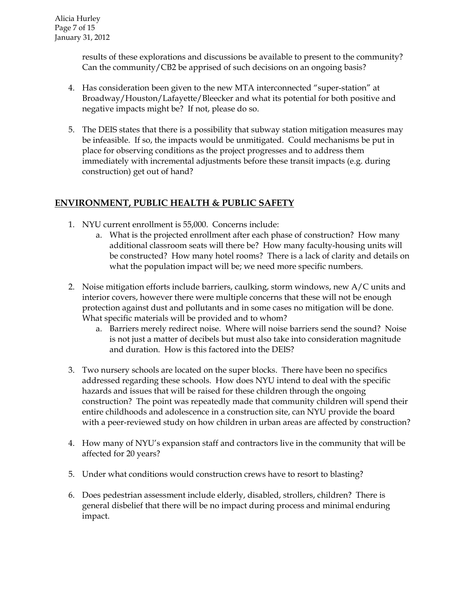results of these explorations and discussions be available to present to the community? Can the community/CB2 be apprised of such decisions on an ongoing basis?

- 4. Has consideration been given to the new MTA interconnected "super-station" at Broadway/Houston/Lafayette/Bleecker and what its potential for both positive and negative impacts might be? If not, please do so.
- 5. The DEIS states that there is a possibility that subway station mitigation measures may be infeasible. If so, the impacts would be unmitigated. Could mechanisms be put in place for observing conditions as the project progresses and to address them immediately with incremental adjustments before these transit impacts (e.g. during construction) get out of hand?

# **ENVIRONMENT, PUBLIC HEALTH & PUBLIC SAFETY**

- 1. NYU current enrollment is 55,000. Concerns include:
	- a. What is the projected enrollment after each phase of construction? How many additional classroom seats will there be? How many faculty-housing units will be constructed? How many hotel rooms? There is a lack of clarity and details on what the population impact will be; we need more specific numbers.
- 2. Noise mitigation efforts include barriers, caulking, storm windows, new A/C units and interior covers, however there were multiple concerns that these will not be enough protection against dust and pollutants and in some cases no mitigation will be done. What specific materials will be provided and to whom?
	- a. Barriers merely redirect noise. Where will noise barriers send the sound? Noise is not just a matter of decibels but must also take into consideration magnitude and duration. How is this factored into the DEIS?
- 3. Two nursery schools are located on the super blocks. There have been no specifics addressed regarding these schools. How does NYU intend to deal with the specific hazards and issues that will be raised for these children through the ongoing construction? The point was repeatedly made that community children will spend their entire childhoods and adolescence in a construction site, can NYU provide the board with a peer-reviewed study on how children in urban areas are affected by construction?
- 4. How many of NYU's expansion staff and contractors live in the community that will be affected for 20 years?
- 5. Under what conditions would construction crews have to resort to blasting?
- 6. Does pedestrian assessment include elderly, disabled, strollers, children? There is general disbelief that there will be no impact during process and minimal enduring impact.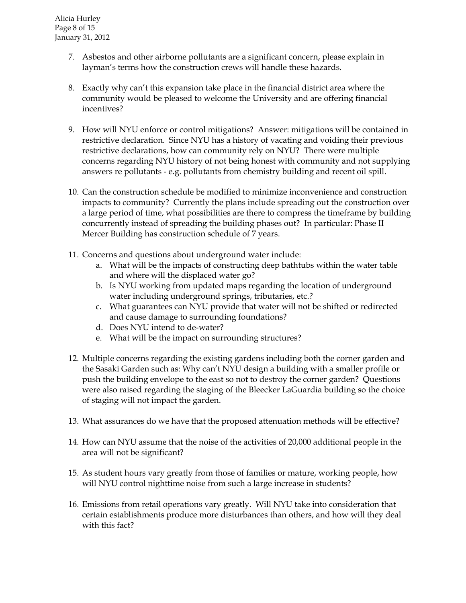- 7. Asbestos and other airborne pollutants are a significant concern, please explain in layman's terms how the construction crews will handle these hazards.
- 8. Exactly why can't this expansion take place in the financial district area where the community would be pleased to welcome the University and are offering financial incentives?
- 9. How will NYU enforce or control mitigations? Answer: mitigations will be contained in restrictive declaration. Since NYU has a history of vacating and voiding their previous restrictive declarations, how can community rely on NYU? There were multiple concerns regarding NYU history of not being honest with community and not supplying answers re pollutants - e.g. pollutants from chemistry building and recent oil spill.
- 10. Can the construction schedule be modified to minimize inconvenience and construction impacts to community? Currently the plans include spreading out the construction over a large period of time, what possibilities are there to compress the timeframe by building concurrently instead of spreading the building phases out? In particular: Phase II Mercer Building has construction schedule of 7 years.
- 11. Concerns and questions about underground water include:
	- a. What will be the impacts of constructing deep bathtubs within the water table and where will the displaced water go?
	- b. Is NYU working from updated maps regarding the location of underground water including underground springs, tributaries, etc.?
	- c. What guarantees can NYU provide that water will not be shifted or redirected and cause damage to surrounding foundations?
	- d. Does NYU intend to de-water?
	- e. What will be the impact on surrounding structures?
- 12. Multiple concerns regarding the existing gardens including both the corner garden and the Sasaki Garden such as: Why can't NYU design a building with a smaller profile or push the building envelope to the east so not to destroy the corner garden? Questions were also raised regarding the staging of the Bleecker LaGuardia building so the choice of staging will not impact the garden.
- 13. What assurances do we have that the proposed attenuation methods will be effective?
- 14. How can NYU assume that the noise of the activities of 20,000 additional people in the area will not be significant?
- 15. As student hours vary greatly from those of families or mature, working people, how will NYU control nighttime noise from such a large increase in students?
- 16. Emissions from retail operations vary greatly. Will NYU take into consideration that certain establishments produce more disturbances than others, and how will they deal with this fact?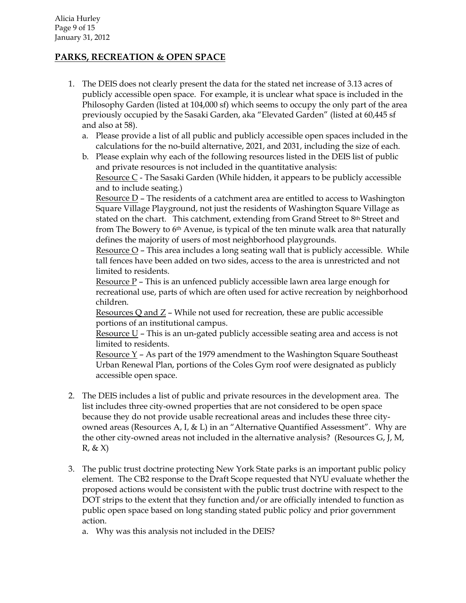# **PARKS, RECREATION & OPEN SPACE**

- 1. The DEIS does not clearly present the data for the stated net increase of 3.13 acres of publicly accessible open space. For example, it is unclear what space is included in the Philosophy Garden (listed at 104,000 sf) which seems to occupy the only part of the area previously occupied by the Sasaki Garden, aka "Elevated Garden" (listed at 60,445 sf and also at 58).
	- a. Please provide a list of all public and publicly accessible open spaces included in the calculations for the no-build alternative, 2021, and 2031, including the size of each.
	- b. Please explain why each of the following resources listed in the DEIS list of public and private resources is not included in the quantitative analysis: Resource  $C$  - The Sasaki Garden (While hidden, it appears to be publicly accessible and to include seating.)

Resource D – The residents of a catchment area are entitled to access to Washington Square Village Playground, not just the residents of Washington Square Village as stated on the chart. This catchment, extending from Grand Street to 8th Street and from The Bowery to 6<sup>th</sup> Avenue, is typical of the ten minute walk area that naturally defines the majority of users of most neighborhood playgrounds.

Resource O – This area includes a long seating wall that is publicly accessible. While tall fences have been added on two sides, access to the area is unrestricted and not limited to residents.

Resource  $P$  – This is an unfenced publicly accessible lawn area large enough for recreational use, parts of which are often used for active recreation by neighborhood children.

Resources Q and Z – While not used for recreation, these are public accessible portions of an institutional campus.

Resource U – This is an un-gated publicly accessible seating area and access is not limited to residents.

Resource Y – As part of the 1979 amendment to the Washington Square Southeast Urban Renewal Plan, portions of the Coles Gym roof were designated as publicly accessible open space.

- 2. The DEIS includes a list of public and private resources in the development area. The list includes three city-owned properties that are not considered to be open space because they do not provide usable recreational areas and includes these three cityowned areas (Resources A, I, & L) in an "Alternative Quantified Assessment". Why are the other city-owned areas not included in the alternative analysis? (Resources G, J, M,  $R, \& X)$
- 3. The public trust doctrine protecting New York State parks is an important public policy element. The CB2 response to the Draft Scope requested that NYU evaluate whether the proposed actions would be consistent with the public trust doctrine with respect to the DOT strips to the extent that they function and/or are officially intended to function as public open space based on long standing stated public policy and prior government action.
	- a. Why was this analysis not included in the DEIS?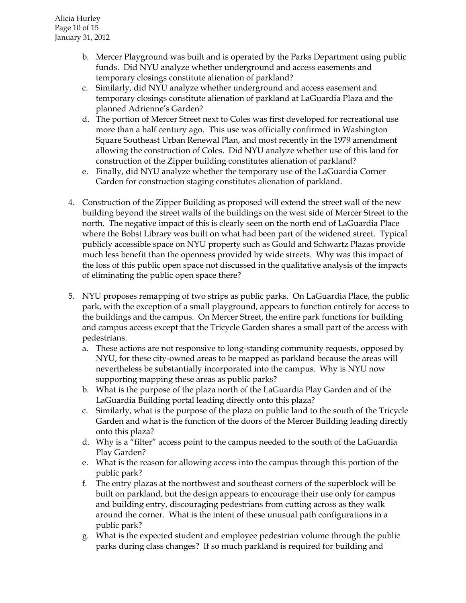- b. Mercer Playground was built and is operated by the Parks Department using public funds. Did NYU analyze whether underground and access easements and temporary closings constitute alienation of parkland?
- c. Similarly, did NYU analyze whether underground and access easement and temporary closings constitute alienation of parkland at LaGuardia Plaza and the planned Adrienne's Garden?
- d. The portion of Mercer Street next to Coles was first developed for recreational use more than a half century ago. This use was officially confirmed in Washington Square Southeast Urban Renewal Plan, and most recently in the 1979 amendment allowing the construction of Coles. Did NYU analyze whether use of this land for construction of the Zipper building constitutes alienation of parkland?
- e. Finally, did NYU analyze whether the temporary use of the LaGuardia Corner Garden for construction staging constitutes alienation of parkland.
- 4. Construction of the Zipper Building as proposed will extend the street wall of the new building beyond the street walls of the buildings on the west side of Mercer Street to the north. The negative impact of this is clearly seen on the north end of LaGuardia Place where the Bobst Library was built on what had been part of the widened street. Typical publicly accessible space on NYU property such as Gould and Schwartz Plazas provide much less benefit than the openness provided by wide streets. Why was this impact of the loss of this public open space not discussed in the qualitative analysis of the impacts of eliminating the public open space there?
- 5. NYU proposes remapping of two strips as public parks. On LaGuardia Place, the public park, with the exception of a small playground, appears to function entirely for access to the buildings and the campus. On Mercer Street, the entire park functions for building and campus access except that the Tricycle Garden shares a small part of the access with pedestrians.
	- a. These actions are not responsive to long-standing community requests, opposed by NYU, for these city-owned areas to be mapped as parkland because the areas will nevertheless be substantially incorporated into the campus. Why is NYU now supporting mapping these areas as public parks?
	- b. What is the purpose of the plaza north of the LaGuardia Play Garden and of the LaGuardia Building portal leading directly onto this plaza?
	- c. Similarly, what is the purpose of the plaza on public land to the south of the Tricycle Garden and what is the function of the doors of the Mercer Building leading directly onto this plaza?
	- d. Why is a "filter" access point to the campus needed to the south of the LaGuardia Play Garden?
	- e. What is the reason for allowing access into the campus through this portion of the public park?
	- f. The entry plazas at the northwest and southeast corners of the superblock will be built on parkland, but the design appears to encourage their use only for campus and building entry, discouraging pedestrians from cutting across as they walk around the corner. What is the intent of these unusual path configurations in a public park?
	- g. What is the expected student and employee pedestrian volume through the public parks during class changes? If so much parkland is required for building and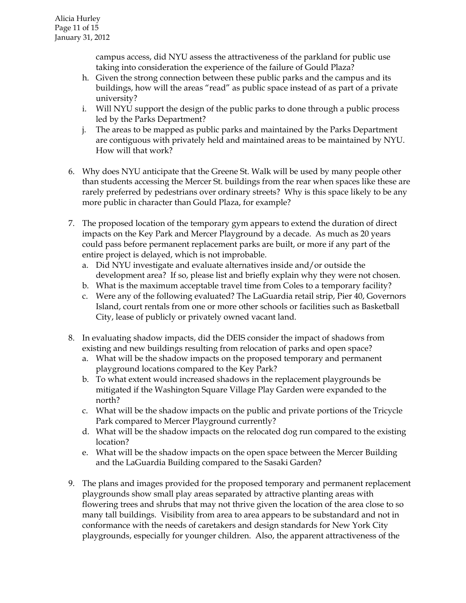campus access, did NYU assess the attractiveness of the parkland for public use taking into consideration the experience of the failure of Gould Plaza?

- h. Given the strong connection between these public parks and the campus and its buildings, how will the areas "read" as public space instead of as part of a private university?
- i. Will NYU support the design of the public parks to done through a public process led by the Parks Department?
- j. The areas to be mapped as public parks and maintained by the Parks Department are contiguous with privately held and maintained areas to be maintained by NYU. How will that work?
- 6. Why does NYU anticipate that the Greene St. Walk will be used by many people other than students accessing the Mercer St. buildings from the rear when spaces like these are rarely preferred by pedestrians over ordinary streets? Why is this space likely to be any more public in character than Gould Plaza, for example?
- 7. The proposed location of the temporary gym appears to extend the duration of direct impacts on the Key Park and Mercer Playground by a decade. As much as 20 years could pass before permanent replacement parks are built, or more if any part of the entire project is delayed, which is not improbable.
	- a. Did NYU investigate and evaluate alternatives inside and/or outside the development area? If so, please list and briefly explain why they were not chosen.
	- b. What is the maximum acceptable travel time from Coles to a temporary facility?
	- c. Were any of the following evaluated? The LaGuardia retail strip, Pier 40, Governors Island, court rentals from one or more other schools or facilities such as Basketball City, lease of publicly or privately owned vacant land.
- 8. In evaluating shadow impacts, did the DEIS consider the impact of shadows from existing and new buildings resulting from relocation of parks and open space?
	- a. What will be the shadow impacts on the proposed temporary and permanent playground locations compared to the Key Park?
	- b. To what extent would increased shadows in the replacement playgrounds be mitigated if the Washington Square Village Play Garden were expanded to the north?
	- c. What will be the shadow impacts on the public and private portions of the Tricycle Park compared to Mercer Playground currently?
	- d. What will be the shadow impacts on the relocated dog run compared to the existing location?
	- e. What will be the shadow impacts on the open space between the Mercer Building and the LaGuardia Building compared to the Sasaki Garden?
- 9. The plans and images provided for the proposed temporary and permanent replacement playgrounds show small play areas separated by attractive planting areas with flowering trees and shrubs that may not thrive given the location of the area close to so many tall buildings. Visibility from area to area appears to be substandard and not in conformance with the needs of caretakers and design standards for New York City playgrounds, especially for younger children. Also, the apparent attractiveness of the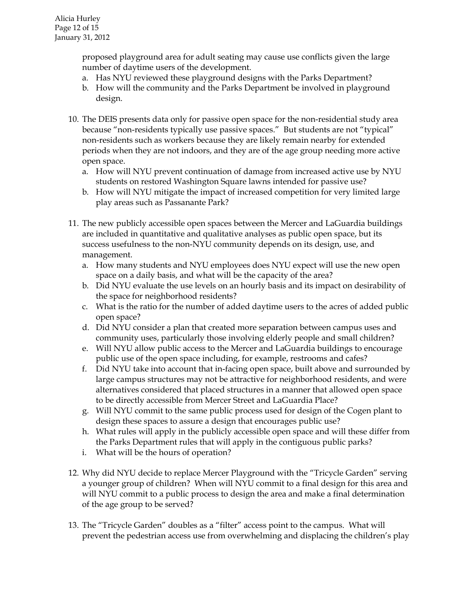proposed playground area for adult seating may cause use conflicts given the large number of daytime users of the development.

- a. Has NYU reviewed these playground designs with the Parks Department?
- b. How will the community and the Parks Department be involved in playground design.
- 10. The DEIS presents data only for passive open space for the non-residential study area because "non-residents typically use passive spaces." But students are not "typical" non-residents such as workers because they are likely remain nearby for extended periods when they are not indoors, and they are of the age group needing more active open space.
	- a. How will NYU prevent continuation of damage from increased active use by NYU students on restored Washington Square lawns intended for passive use?
	- b. How will NYU mitigate the impact of increased competition for very limited large play areas such as Passanante Park?
- 11. The new publicly accessible open spaces between the Mercer and LaGuardia buildings are included in quantitative and qualitative analyses as public open space, but its success usefulness to the non-NYU community depends on its design, use, and management.
	- a. How many students and NYU employees does NYU expect will use the new open space on a daily basis, and what will be the capacity of the area?
	- b. Did NYU evaluate the use levels on an hourly basis and its impact on desirability of the space for neighborhood residents?
	- c. What is the ratio for the number of added daytime users to the acres of added public open space?
	- d. Did NYU consider a plan that created more separation between campus uses and community uses, particularly those involving elderly people and small children?
	- e. Will NYU allow public access to the Mercer and LaGuardia buildings to encourage public use of the open space including, for example, restrooms and cafes?
	- f. Did NYU take into account that in-facing open space, built above and surrounded by large campus structures may not be attractive for neighborhood residents, and were alternatives considered that placed structures in a manner that allowed open space to be directly accessible from Mercer Street and LaGuardia Place?
	- g. Will NYU commit to the same public process used for design of the Cogen plant to design these spaces to assure a design that encourages public use?
	- h. What rules will apply in the publicly accessible open space and will these differ from the Parks Department rules that will apply in the contiguous public parks?
	- i. What will be the hours of operation?
- 12. Why did NYU decide to replace Mercer Playground with the "Tricycle Garden" serving a younger group of children? When will NYU commit to a final design for this area and will NYU commit to a public process to design the area and make a final determination of the age group to be served?
- 13. The "Tricycle Garden" doubles as a "filter" access point to the campus. What will prevent the pedestrian access use from overwhelming and displacing the children's play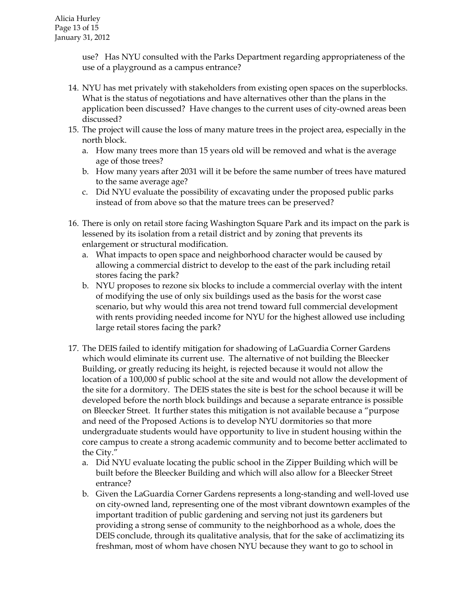use? Has NYU consulted with the Parks Department regarding appropriateness of the use of a playground as a campus entrance?

- 14. NYU has met privately with stakeholders from existing open spaces on the superblocks. What is the status of negotiations and have alternatives other than the plans in the application been discussed? Have changes to the current uses of city-owned areas been discussed?
- 15. The project will cause the loss of many mature trees in the project area, especially in the north block.
	- a. How many trees more than 15 years old will be removed and what is the average age of those trees?
	- b. How many years after 2031 will it be before the same number of trees have matured to the same average age?
	- c. Did NYU evaluate the possibility of excavating under the proposed public parks instead of from above so that the mature trees can be preserved?
- 16. There is only on retail store facing Washington Square Park and its impact on the park is lessened by its isolation from a retail district and by zoning that prevents its enlargement or structural modification.
	- a. What impacts to open space and neighborhood character would be caused by allowing a commercial district to develop to the east of the park including retail stores facing the park?
	- b. NYU proposes to rezone six blocks to include a commercial overlay with the intent of modifying the use of only six buildings used as the basis for the worst case scenario, but why would this area not trend toward full commercial development with rents providing needed income for NYU for the highest allowed use including large retail stores facing the park?
- 17. The DEIS failed to identify mitigation for shadowing of LaGuardia Corner Gardens which would eliminate its current use. The alternative of not building the Bleecker Building, or greatly reducing its height, is rejected because it would not allow the location of a 100,000 sf public school at the site and would not allow the development of the site for a dormitory. The DEIS states the site is best for the school because it will be developed before the north block buildings and because a separate entrance is possible on Bleecker Street. It further states this mitigation is not available because a "purpose and need of the Proposed Actions is to develop NYU dormitories so that more undergraduate students would have opportunity to live in student housing within the core campus to create a strong academic community and to become better acclimated to the City."
	- a. Did NYU evaluate locating the public school in the Zipper Building which will be built before the Bleecker Building and which will also allow for a Bleecker Street entrance?
	- b. Given the LaGuardia Corner Gardens represents a long-standing and well-loved use on city-owned land, representing one of the most vibrant downtown examples of the important tradition of public gardening and serving not just its gardeners but providing a strong sense of community to the neighborhood as a whole, does the DEIS conclude, through its qualitative analysis, that for the sake of acclimatizing its freshman, most of whom have chosen NYU because they want to go to school in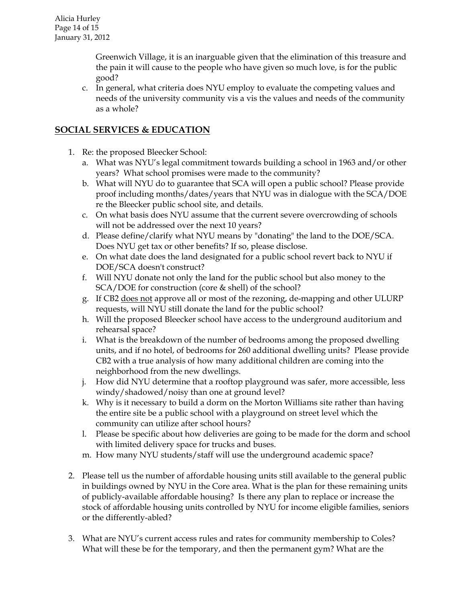Greenwich Village, it is an inarguable given that the elimination of this treasure and the pain it will cause to the people who have given so much love, is for the public good?

c. In general, what criteria does NYU employ to evaluate the competing values and needs of the university community vis a vis the values and needs of the community as a whole?

# **SOCIAL SERVICES & EDUCATION**

- 1. Re: the proposed Bleecker School:
	- a. What was NYU's legal commitment towards building a school in 1963 and/or other years? What school promises were made to the community?
	- b. What will NYU do to guarantee that SCA will open a public school? Please provide proof including months/dates/years that NYU was in dialogue with the SCA/DOE re the Bleecker public school site, and details.
	- c. On what basis does NYU assume that the current severe overcrowding of schools will not be addressed over the next 10 years?
	- d. Please define/clarify what NYU means by "donating" the land to the DOE/SCA. Does NYU get tax or other benefits? If so, please disclose.
	- e. On what date does the land designated for a public school revert back to NYU if DOE/SCA doesn't construct?
	- f. Will NYU donate not only the land for the public school but also money to the SCA/DOE for construction (core & shell) of the school?
	- g. If CB2 does not approve all or most of the rezoning, de-mapping and other ULURP requests, will NYU still donate the land for the public school?
	- h. Will the proposed Bleecker school have access to the underground auditorium and rehearsal space?
	- i. What is the breakdown of the number of bedrooms among the proposed dwelling units, and if no hotel, of bedrooms for 260 additional dwelling units? Please provide CB2 with a true analysis of how many additional children are coming into the neighborhood from the new dwellings.
	- j. How did NYU determine that a rooftop playground was safer, more accessible, less windy/shadowed/noisy than one at ground level?
	- k. Why is it necessary to build a dorm on the Morton Williams site rather than having the entire site be a public school with a playground on street level which the community can utilize after school hours?
	- l. Please be specific about how deliveries are going to be made for the dorm and school with limited delivery space for trucks and buses.
	- m. How many NYU students/staff will use the underground academic space?
- 2. Please tell us the number of affordable housing units still available to the general public in buildings owned by NYU in the Core area. What is the plan for these remaining units of publicly-available affordable housing? Is there any plan to replace or increase the stock of affordable housing units controlled by NYU for income eligible families, seniors or the differently-abled?
- 3. What are NYU's current access rules and rates for community membership to Coles? What will these be for the temporary, and then the permanent gym? What are the